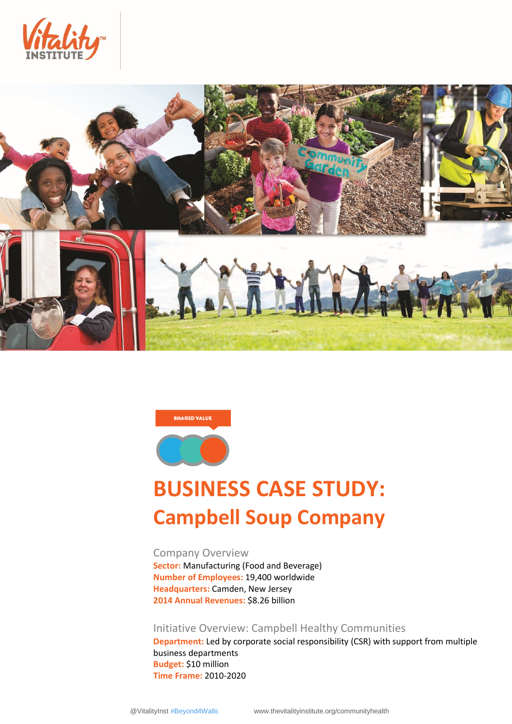





# **BUSINESS CASE STUDY: Campbell Soup Company**

Company Overview **Sector:** Manufacturing (Food and Beverage) **Number of Employees:** 19,400 worldwide **Headquarters:** Camden, New Jersey **2014 Annual Revenues:** \$8.26 billion

Initiative Overview: Campbell Healthy Communities

**Department:** Led by corporate social responsibility (CSR) with support from multiple business departments **Budget:** \$10 million **Time Frame:** 2010-2020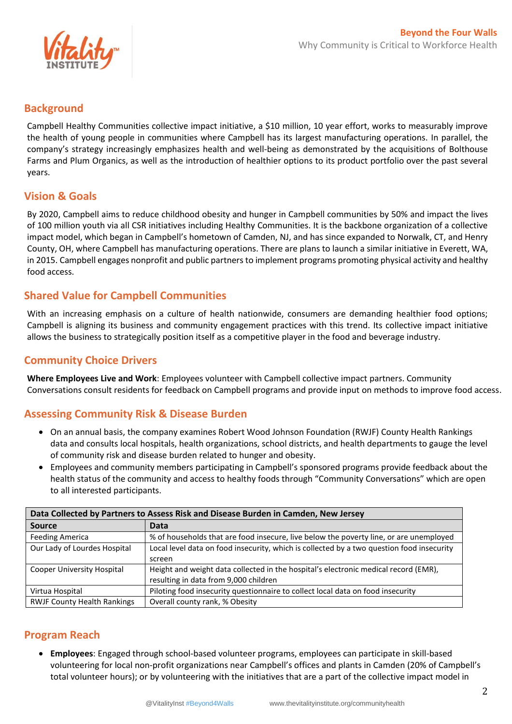

## **Background**

Campbell Healthy Communities collective impact initiative, a \$10 million, 10 year effort, works to measurably improve the health of young people in communities where Campbell has its largest manufacturing operations. In parallel, the company's strategy increasingly emphasizes health and well-being as demonstrated by the acquisitions of Bolthouse Farms and Plum Organics, as well as the introduction of healthier options to its product portfolio over the past several years.

# **Vision & Goals**

By 2020, Campbell aims to reduce childhood obesity and hunger in Campbell communities by 50% and impact the lives of 100 million youth via all CSR initiatives including Healthy Communities. It is the backbone organization of a collective impact model, which began in Campbell's hometown of Camden, NJ, and has since expanded to Norwalk, CT, and Henry County, OH, where Campbell has manufacturing operations. There are plans to launch a similar initiative in Everett, WA, in 2015. Campbell engages nonprofit and public partners to implement programs promoting physical activity and healthy food access.

# **Shared Value for Campbell Communities**

With an increasing emphasis on a culture of health nationwide, consumers are demanding healthier food options; Campbell is aligning its business and community engagement practices with this trend. Its collective impact initiative allows the business to strategically position itself as a competitive player in the food and beverage industry.

# **Community Choice Drivers**

**Where Employees Live and Work**: Employees volunteer with Campbell collective impact partners. Community Conversations consult residents for feedback on Campbell programs and provide input on methods to improve food access.

# **Assessing Community Risk & Disease Burden**

- On an annual basis, the company examines Robert Wood Johnson Foundation (RWJF) County Health Rankings data and consults local hospitals, health organizations, school districts, and health departments to gauge the level of community risk and disease burden related to hunger and obesity.
- Employees and community members participating in Campbell's sponsored programs provide feedback about the health status of the community and access to healthy foods through "Community Conversations" which are open to all interested participants.

| Data Collected by Partners to Assess Risk and Disease Burden in Camden, New Jersey |                                                                                           |  |  |  |
|------------------------------------------------------------------------------------|-------------------------------------------------------------------------------------------|--|--|--|
| <b>Source</b>                                                                      | <b>Data</b>                                                                               |  |  |  |
| <b>Feeding America</b>                                                             | % of households that are food insecure, live below the poverty line, or are unemployed    |  |  |  |
| Our Lady of Lourdes Hospital                                                       | Local level data on food insecurity, which is collected by a two question food insecurity |  |  |  |
|                                                                                    | screen                                                                                    |  |  |  |
| <b>Cooper University Hospital</b>                                                  | Height and weight data collected in the hospital's electronic medical record (EMR),       |  |  |  |
|                                                                                    | resulting in data from 9,000 children                                                     |  |  |  |
| Virtua Hospital                                                                    | Piloting food insecurity questionnaire to collect local data on food insecurity           |  |  |  |
| <b>RWJF County Health Rankings</b>                                                 | Overall county rank, % Obesity                                                            |  |  |  |

## **Program Reach**

 **Employees**: Engaged through school-based volunteer programs, employees can participate in skill-based volunteering for local non-profit organizations near Campbell's offices and plants in Camden (20% of Campbell's total volunteer hours); or by volunteering with the initiatives that are a part of the collective impact model in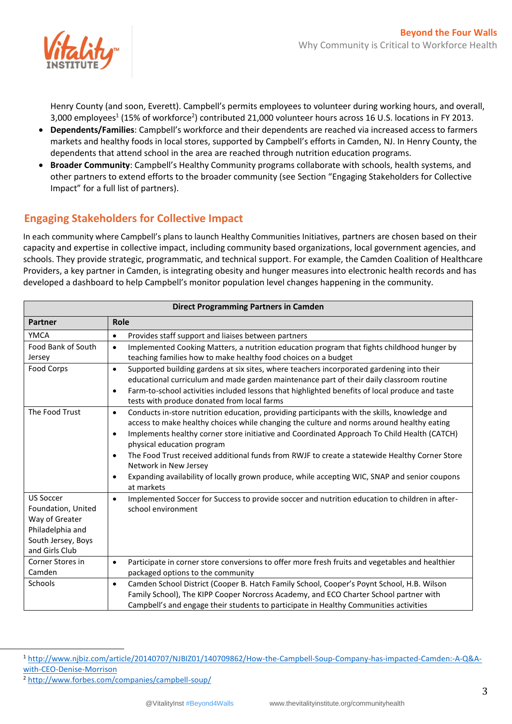

Henry County (and soon, Everett). Campbell's permits employees to volunteer during working hours, and overall, 3,000 employees $^1$  (15% of workforce<sup>2</sup>) contributed 21,000 volunteer hours across 16 U.S. locations in FY 2013.

- **Dependents/Families**: Campbell's workforce and their dependents are reached via increased access to farmers markets and healthy foods in local stores, supported by Campbell's efforts in Camden, NJ. In Henry County, the dependents that attend school in the area are reached through nutrition education programs.
- **Broader Community**: Campbell's Healthy Community programs collaborate with schools, health systems, and other partners to extend efforts to the broader community (see Section "Engaging Stakeholders for Collective Impact" for a full list of partners).

# **Engaging Stakeholders for Collective Impact**

In each community where Campbell's plans to launch Healthy Communities Initiatives, partners are chosen based on their capacity and expertise in collective impact, including community based organizations, local government agencies, and schools. They provide strategic, programmatic, and technical support. For example, the Camden Coalition of Healthcare Providers, a key partner in Camden, is integrating obesity and hunger measures into electronic health records and has developed a dashboard to help Campbell's monitor population level changes happening in the community.

| <b>Direct Programming Partners in Camden</b> |                                                                                                              |  |  |  |
|----------------------------------------------|--------------------------------------------------------------------------------------------------------------|--|--|--|
| <b>Partner</b>                               | Role                                                                                                         |  |  |  |
| <b>YMCA</b>                                  | Provides staff support and liaises between partners<br>$\bullet$                                             |  |  |  |
| Food Bank of South                           | Implemented Cooking Matters, a nutrition education program that fights childhood hunger by<br>$\bullet$      |  |  |  |
| Jersey                                       | teaching families how to make healthy food choices on a budget                                               |  |  |  |
| Food Corps                                   | Supported building gardens at six sites, where teachers incorporated gardening into their<br>$\bullet$       |  |  |  |
|                                              | educational curriculum and made garden maintenance part of their daily classroom routine                     |  |  |  |
|                                              | Farm-to-school activities included lessons that highlighted benefits of local produce and taste<br>٠         |  |  |  |
|                                              | tests with produce donated from local farms                                                                  |  |  |  |
| The Food Trust                               | Conducts in-store nutrition education, providing participants with the skills, knowledge and<br>$\bullet$    |  |  |  |
|                                              | access to make healthy choices while changing the culture and norms around healthy eating                    |  |  |  |
|                                              | Implements healthy corner store initiative and Coordinated Approach To Child Health (CATCH)<br>$\bullet$     |  |  |  |
|                                              | physical education program                                                                                   |  |  |  |
|                                              | The Food Trust received additional funds from RWJF to create a statewide Healthy Corner Store<br>$\bullet$   |  |  |  |
|                                              | Network in New Jersey                                                                                        |  |  |  |
|                                              | Expanding availability of locally grown produce, while accepting WIC, SNAP and senior coupons<br>$\bullet$   |  |  |  |
|                                              | at markets                                                                                                   |  |  |  |
| <b>US Soccer</b>                             | Implemented Soccer for Success to provide soccer and nutrition education to children in after-<br>$\bullet$  |  |  |  |
| Foundation, United                           | school environment                                                                                           |  |  |  |
| Way of Greater                               |                                                                                                              |  |  |  |
| Philadelphia and                             |                                                                                                              |  |  |  |
| South Jersey, Boys                           |                                                                                                              |  |  |  |
| and Girls Club                               |                                                                                                              |  |  |  |
| Corner Stores in                             | Participate in corner store conversions to offer more fresh fruits and vegetables and healthier<br>$\bullet$ |  |  |  |
| Camden                                       | packaged options to the community                                                                            |  |  |  |
| Schools                                      | Camden School District (Cooper B. Hatch Family School, Cooper's Poynt School, H.B. Wilson<br>$\bullet$       |  |  |  |
|                                              | Family School), The KIPP Cooper Norcross Academy, and ECO Charter School partner with                        |  |  |  |
|                                              | Campbell's and engage their students to participate in Healthy Communities activities                        |  |  |  |

 $\overline{a}$ 

<sup>1</sup> [http://www.njbiz.com/article/20140707/NJBIZ01/140709862/How-the-Campbell-Soup-Company-has-impacted-Camden:-A-Q&A](http://www.njbiz.com/article/20140707/NJBIZ01/140709862/How-the-Campbell-Soup-Company-has-impacted-Camden:-A-Q&A-with-CEO-Denise-Morrison)[with-CEO-Denise-Morrison](http://www.njbiz.com/article/20140707/NJBIZ01/140709862/How-the-Campbell-Soup-Company-has-impacted-Camden:-A-Q&A-with-CEO-Denise-Morrison)

<sup>2</sup> <http://www.forbes.com/companies/campbell-soup/>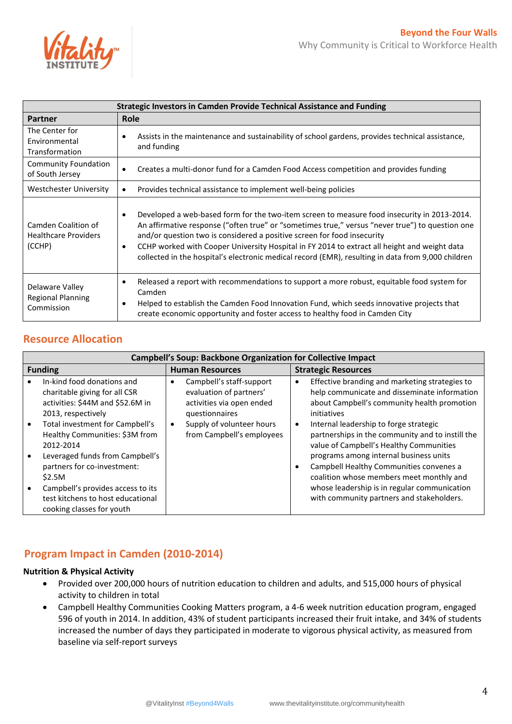

| <b>Strategic Investors in Camden Provide Technical Assistance and Funding</b> |                                                                                                                                                                                                                                                                                                                                                                                                                                                                                                           |  |  |  |
|-------------------------------------------------------------------------------|-----------------------------------------------------------------------------------------------------------------------------------------------------------------------------------------------------------------------------------------------------------------------------------------------------------------------------------------------------------------------------------------------------------------------------------------------------------------------------------------------------------|--|--|--|
| <b>Partner</b>                                                                | Role                                                                                                                                                                                                                                                                                                                                                                                                                                                                                                      |  |  |  |
| The Center for<br>Environmental<br>Transformation                             | Assists in the maintenance and sustainability of school gardens, provides technical assistance,<br>and funding                                                                                                                                                                                                                                                                                                                                                                                            |  |  |  |
| <b>Community Foundation</b><br>of South Jersey                                | Creates a multi-donor fund for a Camden Food Access competition and provides funding                                                                                                                                                                                                                                                                                                                                                                                                                      |  |  |  |
| <b>Westchester University</b>                                                 | Provides technical assistance to implement well-being policies                                                                                                                                                                                                                                                                                                                                                                                                                                            |  |  |  |
| Camden Coalition of<br><b>Healthcare Providers</b><br>(CCHP)                  | Developed a web-based form for the two-item screen to measure food insecurity in 2013-2014.<br>$\bullet$<br>An affirmative response ("often true" or "sometimes true," versus "never true") to question one<br>and/or question two is considered a positive screen for food insecurity<br>CCHP worked with Cooper University Hospital in FY 2014 to extract all height and weight data<br>$\bullet$<br>collected in the hospital's electronic medical record (EMR), resulting in data from 9,000 children |  |  |  |
| Delaware Valley<br><b>Regional Planning</b><br>Commission                     | Released a report with recommendations to support a more robust, equitable food system for<br>Camden<br>Helped to establish the Camden Food Innovation Fund, which seeds innovative projects that<br>create economic opportunity and foster access to healthy food in Camden City                                                                                                                                                                                                                         |  |  |  |

# **Resource Allocation**

| <b>Campbell's Soup: Backbone Organization for Collective Impact</b>                                                                                                                                                                                                                                                                                                                        |                                                                                                                                                                           |                                                                                                                                                                                                                                                                                                                                                                                                                                                                                                                                                                    |  |  |  |
|--------------------------------------------------------------------------------------------------------------------------------------------------------------------------------------------------------------------------------------------------------------------------------------------------------------------------------------------------------------------------------------------|---------------------------------------------------------------------------------------------------------------------------------------------------------------------------|--------------------------------------------------------------------------------------------------------------------------------------------------------------------------------------------------------------------------------------------------------------------------------------------------------------------------------------------------------------------------------------------------------------------------------------------------------------------------------------------------------------------------------------------------------------------|--|--|--|
| <b>Funding</b>                                                                                                                                                                                                                                                                                                                                                                             | <b>Human Resources</b>                                                                                                                                                    | <b>Strategic Resources</b>                                                                                                                                                                                                                                                                                                                                                                                                                                                                                                                                         |  |  |  |
| In-kind food donations and<br>charitable giving for all CSR<br>activities: \$44M and \$52.6M in<br>2013, respectively<br>Total investment for Campbell's<br>Healthy Communities: \$3M from<br>2012-2014<br>Leveraged funds from Campbell's<br>partners for co-investment:<br>\$2.5M<br>Campbell's provides access to its<br>test kitchens to host educational<br>cooking classes for youth | Campbell's staff-support<br>evaluation of partners'<br>activities via open ended<br>questionnaires<br>Supply of volunteer hours<br>$\bullet$<br>from Campbell's employees | Effective branding and marketing strategies to<br>$\bullet$<br>help communicate and disseminate information<br>about Campbell's community health promotion<br>initiatives<br>Internal leadership to forge strategic<br>$\bullet$<br>partnerships in the community and to instill the<br>value of Campbell's Healthy Communities<br>programs among internal business units<br>Campbell Healthy Communities convenes a<br>٠<br>coalition whose members meet monthly and<br>whose leadership is in regular communication<br>with community partners and stakeholders. |  |  |  |

# **Program Impact in Camden (2010-2014)**

## **Nutrition & Physical Activity**

- Provided over 200,000 hours of nutrition education to children and adults, and 515,000 hours of physical activity to children in total
- Campbell Healthy Communities Cooking Matters program, a 4-6 week nutrition education program, engaged 596 of youth in 2014. In addition, 43% of student participants increased their fruit intake, and 34% of students increased the number of days they participated in moderate to vigorous physical activity, as measured from baseline via self-report surveys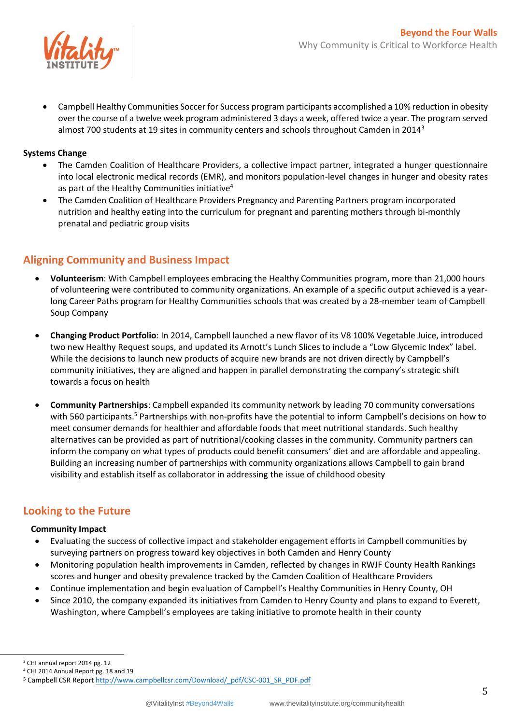

 Campbell Healthy Communities Soccer for Success program participants accomplished a 10% reduction in obesity over the course of a twelve week program administered 3 days a week, offered twice a year. The program served almost 700 students at 19 sites in community centers and schools throughout Camden in 2014<sup>3</sup>

### **Systems Change**

- The Camden Coalition of Healthcare Providers, a collective impact partner, integrated a hunger questionnaire into local electronic medical records (EMR), and monitors population-level changes in hunger and obesity rates as part of the Healthy Communities initiative<sup>4</sup>
- The Camden Coalition of Healthcare Providers Pregnancy and Parenting Partners program incorporated nutrition and healthy eating into the curriculum for pregnant and parenting mothers through bi-monthly prenatal and pediatric group visits

## **Aligning Community and Business Impact**

- **Volunteerism**: With Campbell employees embracing the Healthy Communities program, more than 21,000 hours of volunteering were contributed to community organizations. An example of a specific output achieved is a yearlong Career Paths program for Healthy Communities schools that was created by a 28-member team of Campbell Soup Company
- **Changing Product Portfolio**: In 2014, Campbell launched a new flavor of its V8 100% Vegetable Juice, introduced two new Healthy Request soups, and updated its Arnott's Lunch Slices to include a "Low Glycemic Index" label. While the decisions to launch new products of acquire new brands are not driven directly by Campbell's community initiatives, they are aligned and happen in parallel demonstrating the company's strategic shift towards a focus on health
- **Community Partnerships**: Campbell expanded its community network by leading 70 community conversations with 560 participants.<sup>5</sup> Partnerships with non-profits have the potential to inform Campbell's decisions on how to meet consumer demands for healthier and affordable foods that meet nutritional standards. Such healthy alternatives can be provided as part of nutritional/cooking classes in the community. Community partners can inform the company on what types of products could benefit consumers' diet and are affordable and appealing. Building an increasing number of partnerships with community organizations allows Campbell to gain brand visibility and establish itself as collaborator in addressing the issue of childhood obesity

## **Looking to the Future**

#### **Community Impact**

- Evaluating the success of collective impact and stakeholder engagement efforts in Campbell communities by surveying partners on progress toward key objectives in both Camden and Henry County
- Monitoring population health improvements in Camden, reflected by changes in RWJF County Health Rankings scores and hunger and obesity prevalence tracked by the Camden Coalition of Healthcare Providers
- Continue implementation and begin evaluation of Campbell's Healthy Communities in Henry County, OH
- Since 2010, the company expanded its initiatives from Camden to Henry County and plans to expand to Everett, Washington, where Campbell's employees are taking initiative to promote health in their county

 $\overline{a}$ 

<sup>&</sup>lt;sup>3</sup> CHI annual report 2014 pg. 12

<sup>4</sup> CHI 2014 Annual Report pg. 18 and 19

<sup>5</sup> Campbell CSR Repor[t http://www.campbellcsr.com/Download/\\_pdf/CSC-001\\_SR\\_PDF.pdf](http://www.campbellcsr.com/Download/_pdf/CSC-001_SR_PDF.pdf)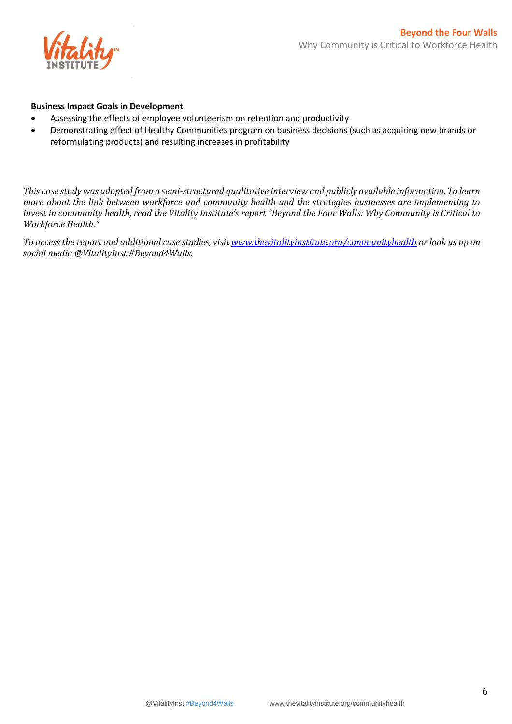

#### **Business Impact Goals in Development**

- Assessing the effects of employee volunteerism on retention and productivity
- Demonstrating effect of Healthy Communities program on business decisions (such as acquiring new brands or reformulating products) and resulting increases in profitability

*This case study was adopted from a semi-structured qualitative interview and publicly available information. To learn more about the link between workforce and community health and the strategies businesses are implementing to invest in community health, read the Vitality Institute's report "Beyond the Four Walls: Why Community is Critical to Workforce Health."*

*To access the report and additional case studies, visi[t www.thevitalityinstitute.org/communityhealth](file:///C:/Users/sradjy/AppData/Local/Microsoft/Windows/Temporary%20Internet%20Files/Content.Outlook/O22GP35G/www.thevitalityinstitute.org/communityhealth) or look us up on social media @VitalityInst #Beyond4Walls.*